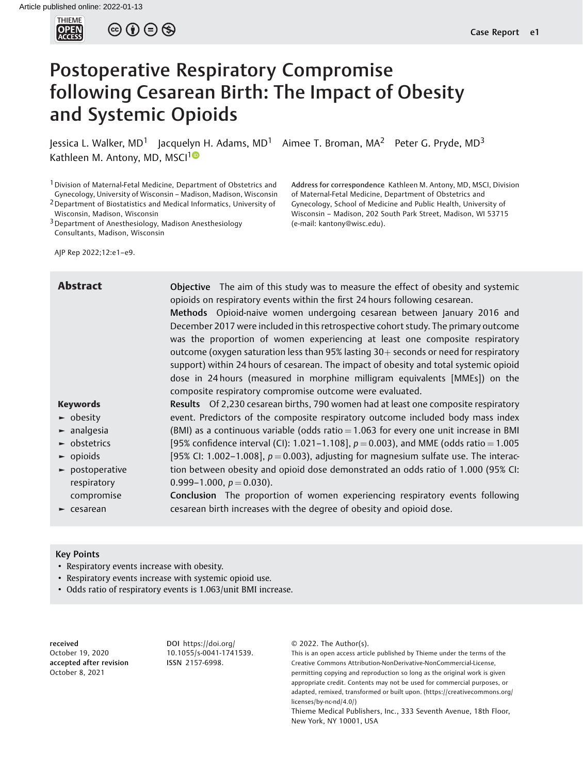

 $\circledcirc \circledcirc \circledcirc$ 

# Postoperative Respiratory Compromise following Cesarean Birth: The Impact of Obesity and Systemic Opioids

Jessica L. Walker, MD<sup>1</sup> Jacquelyn H. Adams, MD<sup>1</sup> Aimee T. Broman, MA<sup>2</sup> Peter G. Pryde, MD<sup>3</sup> Kathleen M. Antony, MD, MSCI<sup>10</sup>

1Division of Maternal-Fetal Medicine, Department of Obstetrics and Gynecology, University of Wisconsin – Madison, Madison, Wisconsin 2Department of Biostatistics and Medical Informatics, University of

Wisconsin, Madison, Wisconsin

3Department of Anesthesiology, Madison Anesthesiology Consultants, Madison, Wisconsin

AJP Rep 2022;12:e1–e9.

Address for correspondence Kathleen M. Antony, MD, MSCI, Division of Maternal-Fetal Medicine, Department of Obstetrics and Gynecology, School of Medicine and Public Health, University of Wisconsin – Madison, 202 South Park Street, Madison, WI 53715 (e-mail: [kantony@wisc.edu\)](mailto:kantony@wisc.edu).

| <b>Abstract</b>                     | Objective The aim of this study was to measure the effect of obesity and systemic<br>opioids on respiratory events within the first 24 hours following cesarean.<br>Methods Opioid-naive women undergoing cesarean between January 2016 and<br>December 2017 were included in this retrospective cohort study. The primary outcome<br>was the proportion of women experiencing at least one composite respiratory<br>outcome (oxygen saturation less than 95% lasting 30+ seconds or need for respiratory<br>support) within 24 hours of cesarean. The impact of obesity and total systemic opioid<br>dose in 24 hours (measured in morphine milligram equivalents [MMEs]) on the<br>composite respiratory compromise outcome were evaluated. |
|-------------------------------------|-----------------------------------------------------------------------------------------------------------------------------------------------------------------------------------------------------------------------------------------------------------------------------------------------------------------------------------------------------------------------------------------------------------------------------------------------------------------------------------------------------------------------------------------------------------------------------------------------------------------------------------------------------------------------------------------------------------------------------------------------|
| <b>Keywords</b>                     | Results Of 2,230 cesarean births, 790 women had at least one composite respiratory                                                                                                                                                                                                                                                                                                                                                                                                                                                                                                                                                                                                                                                            |
| $\blacktriangleright$ obesity       | event. Predictors of the composite respiratory outcome included body mass index                                                                                                                                                                                                                                                                                                                                                                                                                                                                                                                                                                                                                                                               |
| $\blacktriangleright$ analgesia     | (BMI) as a continuous variable (odds ratio $= 1.063$ for every one unit increase in BMI                                                                                                                                                                                                                                                                                                                                                                                                                                                                                                                                                                                                                                                       |
| $\blacktriangleright$ obstetrics    | [95% confidence interval (CI): 1.021-1.108], $p = 0.003$ ), and MME (odds ratio = 1.005                                                                                                                                                                                                                                                                                                                                                                                                                                                                                                                                                                                                                                                       |
| $\blacktriangleright$ opioids       | [95% CI: 1.002-1.008], $p = 0.003$ ), adjusting for magnesium sulfate use. The interac-                                                                                                                                                                                                                                                                                                                                                                                                                                                                                                                                                                                                                                                       |
| $\blacktriangleright$ postoperative | tion between obesity and opioid dose demonstrated an odds ratio of 1.000 (95% CI:                                                                                                                                                                                                                                                                                                                                                                                                                                                                                                                                                                                                                                                             |
| respiratory                         | 0.999-1.000, $p = 0.030$ .                                                                                                                                                                                                                                                                                                                                                                                                                                                                                                                                                                                                                                                                                                                    |
| compromise                          | Conclusion The proportion of women experiencing respiratory events following                                                                                                                                                                                                                                                                                                                                                                                                                                                                                                                                                                                                                                                                  |
| $\blacktriangleright$ cesarean      | cesarean birth increases with the degree of obesity and opioid dose.                                                                                                                                                                                                                                                                                                                                                                                                                                                                                                                                                                                                                                                                          |

## Key Points

- Respiratory events increase with obesity.
- Respiratory events increase with systemic opioid use.
- Odds ratio of respiratory events is 1.063/unit BMI increase.

received October 19, 2020 accepted after revision October 8, 2021

DOI [https://doi.org/](https://doi.org/10.1055/s-0041-1741539) [10.1055/s-0041-1741539](https://doi.org/10.1055/s-0041-1741539). ISSN 2157-6998.

© 2022. The Author(s).

This is an open access article published by Thieme under the terms of the Creative Commons Attribution-NonDerivative-NonCommercial-License, permitting copying and reproduction so long as the original work is given appropriate credit. Contents may not be used for commercial purposes, or adapted, remixed, transformed or built upon. (https://creativecommons.org/ licenses/by-nc-nd/4.0/)

Thieme Medical Publishers, Inc., 333 Seventh Avenue, 18th Floor, New York, NY 10001, USA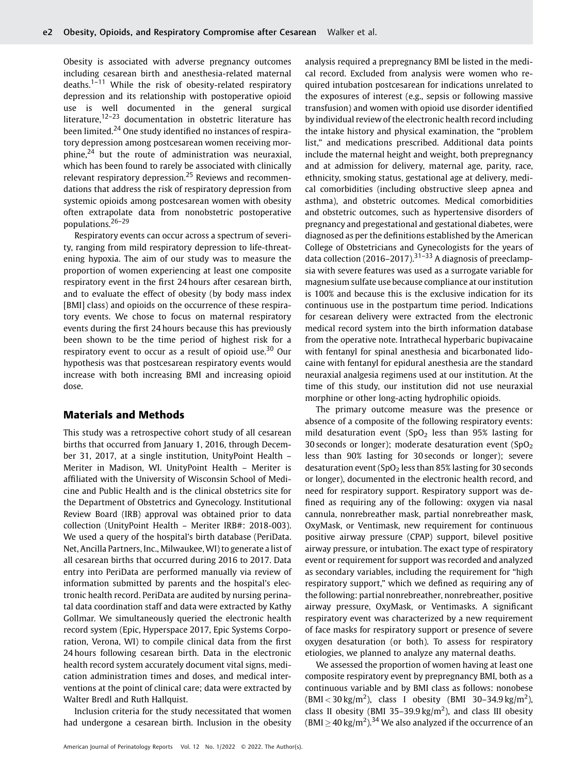Obesity is associated with adverse pregnancy outcomes including cesarean birth and anesthesia-related maternal deaths.<sup>1-11</sup> While the risk of obesity-related respiratory depression and its relationship with postoperative opioid use is well documented in the general surgical literature,<sup>12–23</sup> documentation in obstetric literature has been limited.<sup>24</sup> One study identified no instances of respiratory depression among postcesarean women receiving morphine, $24$  but the route of administration was neuraxial, which has been found to rarely be associated with clinically relevant respiratory depression.<sup>25</sup> Reviews and recommendations that address the risk of respiratory depression from systemic opioids among postcesarean women with obesity often extrapolate data from nonobstetric postoperative populations.26–<sup>29</sup>

Respiratory events can occur across a spectrum of severity, ranging from mild respiratory depression to life-threatening hypoxia. The aim of our study was to measure the proportion of women experiencing at least one composite respiratory event in the first 24 hours after cesarean birth, and to evaluate the effect of obesity (by body mass index [BMI] class) and opioids on the occurrence of these respiratory events. We chose to focus on maternal respiratory events during the first 24 hours because this has previously been shown to be the time period of highest risk for a respiratory event to occur as a result of opioid use.<sup>30</sup> Our hypothesis was that postcesarean respiratory events would increase with both increasing BMI and increasing opioid dose.

# Materials and Methods

This study was a retrospective cohort study of all cesarean births that occurred from January 1, 2016, through December 31, 2017, at a single institution, UnityPoint Health – Meriter in Madison, WI. UnityPoint Health – Meriter is affiliated with the University of Wisconsin School of Medicine and Public Health and is the clinical obstetrics site for the Department of Obstetrics and Gynecology. Institutional Review Board (IRB) approval was obtained prior to data collection (UnityPoint Health – Meriter IRB#: 2018-003). We used a query of the hospital's birth database (PeriData. Net, Ancilla Partners, Inc., Milwaukee,WI) to generate a list of all cesarean births that occurred during 2016 to 2017. Data entry into PeriData are performed manually via review of information submitted by parents and the hospital's electronic health record. PeriData are audited by nursing perinatal data coordination staff and data were extracted by Kathy Gollmar. We simultaneously queried the electronic health record system (Epic, Hyperspace 2017, Epic Systems Corporation, Verona, WI) to compile clinical data from the first 24 hours following cesarean birth. Data in the electronic health record system accurately document vital signs, medication administration times and doses, and medical interventions at the point of clinical care; data were extracted by Walter Bredl and Ruth Hallquist.

Inclusion criteria for the study necessitated that women had undergone a cesarean birth. Inclusion in the obesity analysis required a prepregnancy BMI be listed in the medical record. Excluded from analysis were women who required intubation postcesarean for indications unrelated to the exposures of interest (e.g., sepsis or following massive transfusion) and women with opioid use disorder identified by individual review of the electronic health record including the intake history and physical examination, the "problem list," and medications prescribed. Additional data points include the maternal height and weight, both prepregnancy and at admission for delivery, maternal age, parity, race, ethnicity, smoking status, gestational age at delivery, medical comorbidities (including obstructive sleep apnea and asthma), and obstetric outcomes. Medical comorbidities and obstetric outcomes, such as hypertensive disorders of pregnancy and pregestational and gestational diabetes, were diagnosed as per the definitions established by the American College of Obstetricians and Gynecologists for the years of data collection (2016–2017).<sup>31–33</sup> A diagnosis of preeclampsia with severe features was used as a surrogate variable for magnesium sulfate use because compliance at our institution is 100% and because this is the exclusive indication for its continuous use in the postpartum time period. Indications for cesarean delivery were extracted from the electronic medical record system into the birth information database from the operative note. Intrathecal hyperbaric bupivacaine with fentanyl for spinal anesthesia and bicarbonated lidocaine with fentanyl for epidural anesthesia are the standard neuraxial analgesia regimens used at our institution. At the time of this study, our institution did not use neuraxial morphine or other long-acting hydrophilic opioids.

The primary outcome measure was the presence or absence of a composite of the following respiratory events: mild desaturation event  $(SpO<sub>2</sub>)$  less than 95% lasting for 30 seconds or longer); moderate desaturation event  $(SpO<sub>2</sub>)$ less than 90% lasting for 30 seconds or longer); severe desaturation event (SpO<sub>2</sub> less than 85% lasting for 30 seconds or longer), documented in the electronic health record, and need for respiratory support. Respiratory support was defined as requiring any of the following: oxygen via nasal cannula, nonrebreather mask, partial nonrebreather mask, OxyMask, or Ventimask, new requirement for continuous positive airway pressure (CPAP) support, bilevel positive airway pressure, or intubation. The exact type of respiratory event or requirement for support was recorded and analyzed as secondary variables, including the requirement for "high respiratory support," which we defined as requiring any of the following: partial nonrebreather, nonrebreather, positive airway pressure, OxyMask, or Ventimasks. A significant respiratory event was characterized by a new requirement of face masks for respiratory support or presence of severe oxygen desaturation (or both). To assess for respiratory etiologies, we planned to analyze any maternal deaths.

We assessed the proportion of women having at least one composite respiratory event by prepregnancy BMI, both as a continuous variable and by BMI class as follows: nonobese  $(BMI < 30 \text{ kg/m}^2)$ , class I obesity (BMI 30-34.9 kg/m<sup>2</sup>), class II obesity (BMI 35-39.9 kg/m<sup>2</sup>), and class III obesity  $(BMI \geq 40 \text{ kg/m}^2).$ <sup>34</sup> We also analyzed if the occurrence of an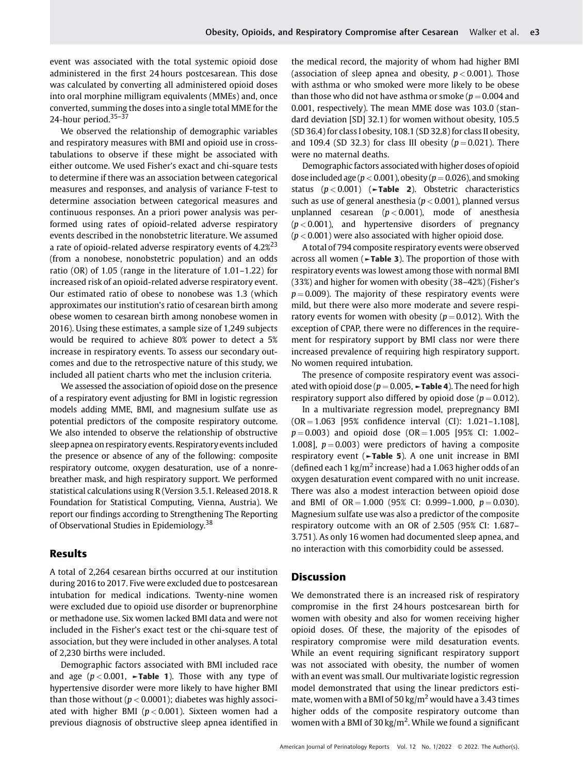event was associated with the total systemic opioid dose administered in the first 24 hours postcesarean. This dose was calculated by converting all administered opioid doses into oral morphine milligram equivalents (MMEs) and, once converted, summing the doses into a single total MME for the 24-hour period. $35-37$ 

We observed the relationship of demographic variables and respiratory measures with BMI and opioid use in crosstabulations to observe if these might be associated with either outcome. We used Fisher's exact and chi-square tests to determine if there was an association between categorical measures and responses, and analysis of variance F-test to determine association between categorical measures and continuous responses. An a priori power analysis was performed using rates of opioid-related adverse respiratory events described in the nonobstetric literature. We assumed a rate of opioid-related adverse respiratory events of 4.2%<sup>23</sup> (from a nonobese, nonobstetric population) and an odds ratio (OR) of 1.05 (range in the literature of 1.01–1.22) for increased risk of an opioid-related adverse respiratory event. Our estimated ratio of obese to nonobese was 1.3 (which approximates our institution's ratio of cesarean birth among obese women to cesarean birth among nonobese women in 2016). Using these estimates, a sample size of 1,249 subjects would be required to achieve 80% power to detect a 5% increase in respiratory events. To assess our secondary outcomes and due to the retrospective nature of this study, we included all patient charts who met the inclusion criteria.

We assessed the association of opioid dose on the presence of a respiratory event adjusting for BMI in logistic regression models adding MME, BMI, and magnesium sulfate use as potential predictors of the composite respiratory outcome. We also intended to observe the relationship of obstructive sleep apnea on respiratory events. Respiratory events included the presence or absence of any of the following: composite respiratory outcome, oxygen desaturation, use of a nonrebreather mask, and high respiratory support. We performed statistical calculations using R (Version 3.5.1. Released 2018. R Foundation for Statistical Computing, Vienna, Austria). We report our findings according to Strengthening The Reporting of Observational Studies in Epidemiology.<sup>38</sup>

## Results

A total of 2,264 cesarean births occurred at our institution during 2016 to 2017. Five were excluded due to postcesarean intubation for medical indications. Twenty-nine women were excluded due to opioid use disorder or buprenorphine or methadone use. Six women lacked BMI data and were not included in the Fisher's exact test or the chi-square test of association, but they were included in other analyses. A total of 2,230 births were included.

Demographic factors associated with BMI included race and age ( $p < 0.001$ ,  $\blacktriangleright$  Table 1). Those with any type of hypertensive disorder were more likely to have higher BMI than those without ( $p < 0.0001$ ); diabetes was highly associated with higher BMI ( $p < 0.001$ ). Sixteen women had a previous diagnosis of obstructive sleep apnea identified in

the medical record, the majority of whom had higher BMI (association of sleep apnea and obesity,  $p < 0.001$ ). Those with asthma or who smoked were more likely to be obese than those who did not have asthma or smoke ( $p = 0.004$  and 0.001, respectively). The mean MME dose was 103.0 (standard deviation [SD] 32.1) for women without obesity, 105.5 (SD 36.4) for class I obesity, 108.1 (SD 32.8) for class II obesity, and 109.4 (SD 32.3) for class III obesity ( $p = 0.021$ ). There were no maternal deaths.

Demographic factors associated with higher doses of opioid dose included age ( $p < 0.001$ ), obesity ( $p = 0.026$ ), and smoking status  $(p < 0.001)$  ( $\nightharpoonup$ **Table 2**). Obstetric characteristics such as use of general anesthesia ( $p < 0.001$ ), planned versus unplanned cesarean  $(p < 0.001)$ , mode of anesthesia  $(p < 0.001)$ , and hypertensive disorders of pregnancy  $(p < 0.001)$  were also associated with higher opioid dose.

A total of 794 composite respiratory events were observed across all women (►Table 3). The proportion of those with respiratory events was lowest among those with normal BMI (33%) and higher for women with obesity (38–42%) (Fisher's  $p = 0.009$ ). The majority of these respiratory events were mild, but there were also more moderate and severe respiratory events for women with obesity ( $p = 0.012$ ). With the exception of CPAP, there were no differences in the requirement for respiratory support by BMI class nor were there increased prevalence of requiring high respiratory support. No women required intubation.

The presence of composite respiratory event was associated with opioid dose ( $p = 0.005$ ,  $\blacktriangleright$ Table 4). The need for high respiratory support also differed by opioid dose ( $p = 0.012$ ).

In a multivariate regression model, prepregnancy BMI  $(OR = 1.063$  [95% confidence interval  $(Cl)$ : 1.021-1.108],  $p = 0.003$ ) and opioid dose (OR = 1.005 [95% CI: 1.002– 1.008],  $p = 0.003$ ) were predictors of having a composite respiratory event (►Table 5). A one unit increase in BMI (defined each 1 kg/ $m^2$  increase) had a 1.063 higher odds of an oxygen desaturation event compared with no unit increase. There was also a modest interaction between opioid dose and BMI of  $OR = 1.000$  (95% CI: 0.999–1.000,  $p = 0.030$ ). Magnesium sulfate use was also a predictor of the composite respiratory outcome with an OR of 2.505 (95% CI: 1.687– 3.751). As only 16 women had documented sleep apnea, and no interaction with this comorbidity could be assessed.

## **Discussion**

We demonstrated there is an increased risk of respiratory compromise in the first 24 hours postcesarean birth for women with obesity and also for women receiving higher opioid doses. Of these, the majority of the episodes of respiratory compromise were mild desaturation events. While an event requiring significant respiratory support was not associated with obesity, the number of women with an event was small. Our multivariate logistic regression model demonstrated that using the linear predictors estimate, women with a BMI of 50 kg/m<sup>2</sup> would have a 3.43 times higher odds of the composite respiratory outcome than women with a BMI of 30  $\text{kg/m}^2$ . While we found a significant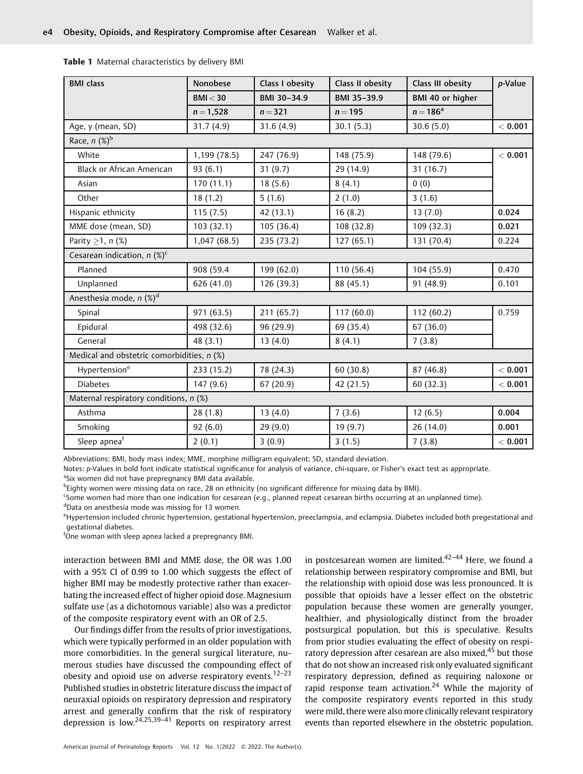| <b>BMI</b> class                           | <b>Nonobese</b> | Class I obesity | Class II obesity | Class III obesity | p-Value |  |
|--------------------------------------------|-----------------|-----------------|------------------|-------------------|---------|--|
|                                            | BMI < 30        | BMI 30-34.9     | BMI 35-39.9      | BMI 40 or higher  |         |  |
|                                            | $n = 1,528$     | $n = 321$       | $n = 195$        | $n = 186^a$       |         |  |
| Age, y (mean, SD)                          | 31.7(4.9)       | 31.6(4.9)       | 30.1(5.3)        | 30.6(5.0)         | < 0.001 |  |
| Race, $n$ $(\%)^b$                         |                 |                 |                  |                   |         |  |
| White                                      | 1,199 (78.5)    | 247 (76.9)      | 148 (75.9)       | 148 (79.6)        | < 0.001 |  |
| Black or African American                  | 93(6.1)         | 31(9.7)         | 29 (14.9)        | 31(16.7)          |         |  |
| Asian                                      | 170(11.1)       | 18(5.6)         | 8(4.1)           | 0(0)              |         |  |
| Other                                      | 18(1.2)         | 5(1.6)          | 2(1.0)           | 3(1.6)            |         |  |
| Hispanic ethnicity                         | 115(7.5)        | 42 (13.1)       | 16(8.2)          | 13(7.0)           | 0.024   |  |
| MME dose (mean, SD)                        | 103(32.1)       | 105 (36.4)      | 108 (32.8)       | 109 (32.3)        | 0.021   |  |
| Parity $\geq$ 1, n (%)                     | 1,047(68.5)     | 235 (73.2)      | 127(65.1)        | 131 (70.4)        | 0.224   |  |
| Cesarean indication, $n$ (%) <sup>c</sup>  |                 |                 |                  |                   |         |  |
| Planned                                    | 908 (59.4       | 199 (62.0)      | 110 (56.4)       | 104 (55.9)        | 0.470   |  |
| Unplanned                                  | 626 (41.0)      | 126 (39.3)      | 88 (45.1)        | 91 (48.9)         | 0.101   |  |
| Anesthesia mode, n (%) <sup>d</sup>        |                 |                 |                  |                   |         |  |
| Spinal                                     | 971 (63.5)      | 211 (65.7)      | 117(60.0)        | 112(60.2)         | 0.759   |  |
| Epidural                                   | 498 (32.6)      | 96 (29.9)       | 69 (35.4)        | 67 (36.0)         |         |  |
| General                                    | 48(3.1)         | 13(4.0)         | 8(4.1)           | 7(3.8)            |         |  |
| Medical and obstetric comorbidities, n (%) |                 |                 |                  |                   |         |  |
| Hypertension <sup>e</sup>                  | 233 (15.2)      | 78 (24.3)       | 60 (30.8)        | 87 (46.8)         | < 0.001 |  |
| <b>Diabetes</b>                            | 147(9.6)        | 67(20.9)        | 42 (21.5)        | 60(32.3)          | < 0.001 |  |
| Maternal respiratory conditions, n (%)     |                 |                 |                  |                   |         |  |
| Asthma                                     | 28(1.8)         | 13(4.0)         | 7(3.6)           | 12(6.5)           | 0.004   |  |
| Smoking                                    | 92(6.0)         | 29(9.0)         | 19 (9.7)         | 26 (14.0)         | 0.001   |  |
| Sleep apneaf                               | 2(0.1)          | 3(0.9)          | 3(1.5)           | 7(3.8)            | < 0.001 |  |

Table 1 Maternal characteristics by delivery BMI

Abbreviations: BMI, body mass index; MME, morphine milligram equivalent; SD, standard deviation.

Notes: p-Values in bold font indicate statistical significance for analysis of variance, chi-square, or Fisher's exact test as appropriate. <sup>a</sup>Six women did not have prepregnancy BMI data available.

b Eighty women were missing data on race, 28 on ethnicity (no significant difference for missing data by BMI).

c Some women had more than one indication for cesarean (e.g., planned repeat cesarean births occurring at an unplanned time). d Data on anesthesia mode was missing for 13 women.

e Hypertension included chronic hypertension, gestational hypertension, preeclampsia, and eclampsia. Diabetes included both pregestational and gestational diabetes.

<sup>f</sup>One woman with sleep apnea lacked a prepregnancy BMI.

interaction between BMI and MME dose, the OR was 1.00 with a 95% CI of 0.99 to 1.00 which suggests the effect of higher BMI may be modestly protective rather than exacerbating the increased effect of higher opioid dose. Magnesium sulfate use (as a dichotomous variable) also was a predictor of the composite respiratory event with an OR of 2.5.

Our findings differ from the results of prior investigations, which were typically performed in an older population with more comorbidities. In the general surgical literature, numerous studies have discussed the compounding effect of obesity and opioid use on adverse respiratory events.<sup>12-23</sup> Published studies in obstetric literature discuss the impact of neuraxial opioids on respiratory depression and respiratory arrest and generally confirm that the risk of respiratory depression is low.24,25,39–<sup>41</sup> Reports on respiratory arrest in postcesarean women are limited. $42-44$  Here, we found a relationship between respiratory compromise and BMI, but the relationship with opioid dose was less pronounced. It is possible that opioids have a lesser effect on the obstetric population because these women are generally younger, healthier, and physiologically distinct from the broader postsurgical population, but this is speculative. Results from prior studies evaluating the effect of obesity on respiratory depression after cesarean are also mixed,<sup>45</sup> but those that do not show an increased risk only evaluated significant respiratory depression, defined as requiring naloxone or rapid response team activation.<sup>24</sup> While the majority of the composite respiratory events reported in this study were mild, there were also more clinically relevant respiratory events than reported elsewhere in the obstetric population.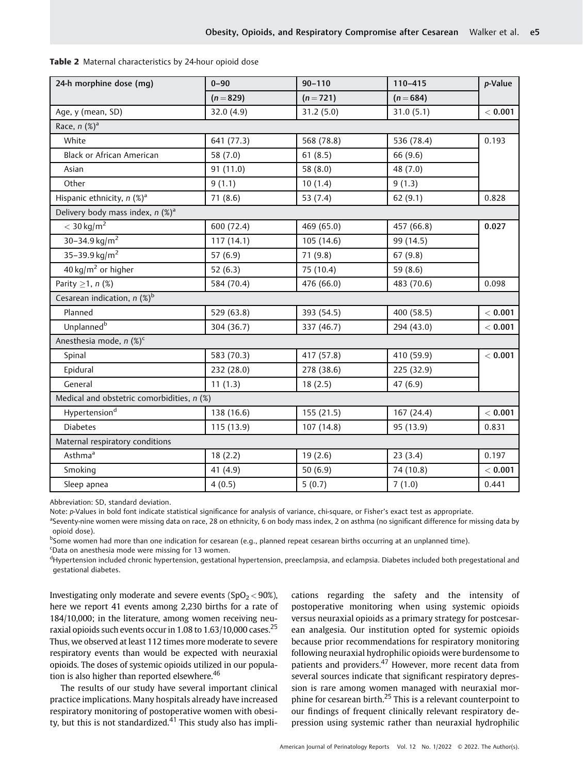| Table 2 Maternal characteristics by 24-hour opioid dose |
|---------------------------------------------------------|
|---------------------------------------------------------|

| 24-h morphine dose (mg)                        | $0 - 90$     | $90 - 110$  | 110-415     | p-Value   |  |  |
|------------------------------------------------|--------------|-------------|-------------|-----------|--|--|
|                                                | $(n = 829)$  | $(n = 721)$ | $(n = 684)$ |           |  |  |
| Age, y (mean, SD)                              | 32.0 $(4.9)$ | 31.2(5.0)   | 31.0(5.1)   | $<$ 0.001 |  |  |
| Race, $n$ $(\%)^a$                             |              |             |             |           |  |  |
| White                                          | 641 (77.3)   | 568 (78.8)  | 536 (78.4)  | 0.193     |  |  |
| Black or African American                      | 58 (7.0)     | 61(8.5)     | 66 (9.6)    |           |  |  |
| Asian                                          | 91 (11.0)    | 58 $(8.0)$  | 48 (7.0)    |           |  |  |
| Other                                          | 9(1.1)       | 10(1.4)     | 9(1.3)      |           |  |  |
| Hispanic ethnicity, $n$ (%) <sup>a</sup>       | 71(8.6)      | 53 $(7.4)$  | 62(9.1)     | 0.828     |  |  |
| Delivery body mass index, $n$ (%) <sup>a</sup> |              |             |             |           |  |  |
| $<$ 30 kg/m <sup>2</sup>                       | 600 (72.4)   | 469 (65.0)  | 457 (66.8)  | 0.027     |  |  |
| 30-34.9 kg/m <sup>2</sup>                      | 117(14.1)    | 105(14.6)   | 99 (14.5)   |           |  |  |
| 35-39.9 kg/m <sup>2</sup>                      | 57 $(6.9)$   | 71 (9.8)    | 67(9.8)     |           |  |  |
| $40 \text{ kg/m}^2$ or higher                  | 52 $(6.3)$   | 75 (10.4)   | 59 (8.6)    |           |  |  |
| Parity $\geq$ 1, n (%)                         | 584 (70.4)   | 476 (66.0)  | 483 (70.6)  | 0.098     |  |  |
| Cesarean indication, $n$ (%) <sup>b</sup>      |              |             |             |           |  |  |
| Planned                                        | 529 (63.8)   | 393 (54.5)  | 400 (58.5)  | < 0.001   |  |  |
| Unplanned <sup>b</sup>                         | 304 (36.7)   | 337 (46.7)  | 294 (43.0)  | < 0.001   |  |  |
| Anesthesia mode, n (%) <sup>c</sup>            |              |             |             |           |  |  |
| Spinal                                         | 583 (70.3)   | 417 (57.8)  | 410 (59.9)  | $<$ 0.001 |  |  |
| Epidural                                       | 232 (28.0)   | 278 (38.6)  | 225 (32.9)  |           |  |  |
| General                                        | 11(1.3)      | 18(2.5)     | 47(6.9)     |           |  |  |
| Medical and obstetric comorbidities, n (%)     |              |             |             |           |  |  |
| Hypertension <sup>d</sup>                      | 138 (16.6)   | 155 (21.5)  | 167 (24.4)  | < 0.001   |  |  |
| <b>Diabetes</b>                                | 115 (13.9)   | 107 (14.8)  | 95 (13.9)   | 0.831     |  |  |
| Maternal respiratory conditions                |              |             |             |           |  |  |
| Asthma <sup>a</sup>                            | 18(2.2)      | 19(2.6)     | 23(3.4)     | 0.197     |  |  |
| Smoking                                        | 41 (4.9)     | 50 $(6.9)$  | 74 (10.8)   | < 0.001   |  |  |
| Sleep apnea                                    | 4(0.5)       | 5(0.7)      | 7(1.0)      | 0.441     |  |  |

Abbreviation: SD, standard deviation.

Note: p-Values in bold font indicate statistical significance for analysis of variance, chi-square, or Fisher's exact test as appropriate.

a<br>Seventy-nine women were missing data on race, 28 on ethnicity, 6 on body mass index, 2 on asthma (no significant difference for missing data by opioid dose).

<sup>b</sup>Some women had more than one indication for cesarean (e.g., planned repeat cesarean births occurring at an unplanned time).

<sup>c</sup>Data on anesthesia mode were missing for 13 women.

<sup>d</sup>Hypertension included chronic hypertension, gestational hypertension, preeclampsia, and eclampsia. Diabetes included both pregestational and gestational diabetes.

Investigating only moderate and severe events  $(SpO<sub>2</sub> < 90%)$ , here we report 41 events among 2,230 births for a rate of 184/10,000; in the literature, among women receiving neuraxial opioids such events occur in  $1.08$  to  $1.63/10.000$  cases.<sup>25</sup> Thus, we observed at least 112 times more moderate to severe respiratory events than would be expected with neuraxial opioids. The doses of systemic opioids utilized in our population is also higher than reported elsewhere. $46$ 

The results of our study have several important clinical practice implications. Many hospitals already have increased respiratory monitoring of postoperative women with obesity, but this is not standardized. $41$  This study also has implications regarding the safety and the intensity of postoperative monitoring when using systemic opioids versus neuraxial opioids as a primary strategy for postcesarean analgesia. Our institution opted for systemic opioids because prior recommendations for respiratory monitoring following neuraxial hydrophilic opioids were burdensome to patients and providers.<sup>47</sup> However, more recent data from several sources indicate that significant respiratory depression is rare among women managed with neuraxial morphine for cesarean birth.<sup>25</sup> This is a relevant counterpoint to our findings of frequent clinically relevant respiratory depression using systemic rather than neuraxial hydrophilic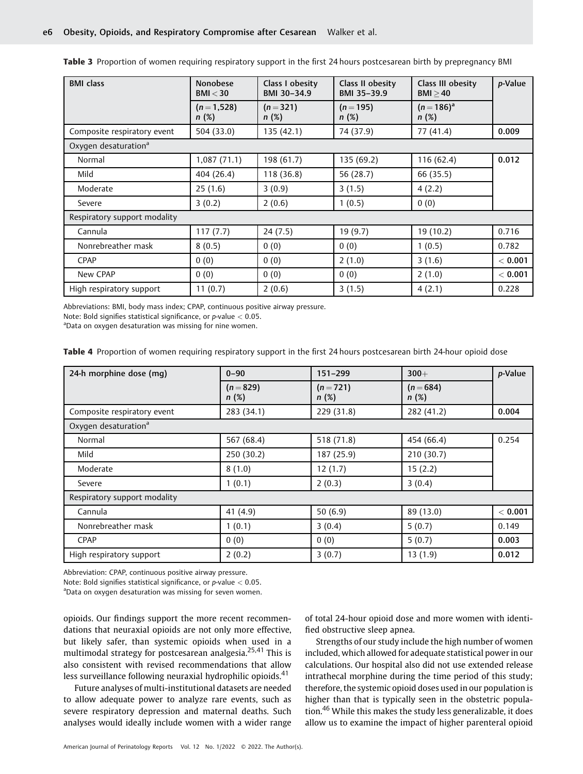| <b>BMI</b> class                 | <b>Nonobese</b><br>BMI < 30 | Class I obesity<br>BMI 30-34.9 | Class II obesity<br>BMI 35-39.9 | Class III obesity<br>BMI > 40 | p-Value |
|----------------------------------|-----------------------------|--------------------------------|---------------------------------|-------------------------------|---------|
|                                  | $(n=1,528)$<br>n(%)         | $(n=321)$<br>n(%)              | $(n=195)$<br>n(%)               | $(n=186)^{a}$<br>n(%)         |         |
| Composite respiratory event      | 504 (33.0)                  | 135 (42.1)                     | 74 (37.9)                       | 77 (41.4)                     | 0.009   |
| Oxygen desaturation <sup>a</sup> |                             |                                |                                 |                               |         |
| Normal                           | 1,087(71.1)                 | 198 (61.7)                     | 135 (69.2)                      | 116 (62.4)                    | 0.012   |
| Mild                             | 404 (26.4)                  | 118 (36.8)                     | 56 (28.7)                       | 66 (35.5)                     |         |
| Moderate                         | 25(1.6)                     | 3(0.9)                         | 3(1.5)                          | 4(2.2)                        |         |
| Severe                           | 3(0.2)                      | 2(0.6)                         | 1(0.5)                          | 0(0)                          |         |
| Respiratory support modality     |                             |                                |                                 |                               |         |
| Cannula                          | 117(7.7)                    | 24(7.5)                        | 19 (9.7)                        | 19 (10.2)                     | 0.716   |
| Nonrebreather mask               | 8(0.5)                      | 0(0)                           | 0(0)                            | 1(0.5)                        | 0.782   |
| <b>CPAP</b>                      | 0(0)                        | 0(0)                           | 2(1.0)                          | 3(1.6)                        | < 0.001 |
| New CPAP                         | 0(0)                        | 0(0)                           | 0(0)                            | 2(1.0)                        | < 0.001 |
| High respiratory support         | 11(0.7)                     | 2(0.6)                         | 3(1.5)                          | 4(2.1)                        | 0.228   |

Table 3 Proportion of women requiring respiratory support in the first 24 hours postcesarean birth by prepregnancy BMI

Abbreviations: BMI, body mass index; CPAP, continuous positive airway pressure.

Note: Bold signifies statistical significance, or  $p$ -value  $< 0.05$ .

<sup>a</sup>Data on oxygen desaturation was missing for nine women.

|  | Table 4 Proportion of women requiring respiratory support in the first 24 hours postcesarean birth 24-hour opioid dose |  |  |  |
|--|------------------------------------------------------------------------------------------------------------------------|--|--|--|
|  |                                                                                                                        |  |  |  |

| 24-h morphine dose (mg)          | $0 - 90$          | 151-299           | $300+$              | p-Value |  |
|----------------------------------|-------------------|-------------------|---------------------|---------|--|
|                                  | $(n=829)$<br>n(%) | $(n=721)$<br>n(%) | $(n = 684)$<br>n(%) |         |  |
| Composite respiratory event      | 283 (34.1)        | 229 (31.8)        | 282 (41.2)          | 0.004   |  |
| Oxygen desaturation <sup>a</sup> |                   |                   |                     |         |  |
| Normal                           | 567 (68.4)        | 518 (71.8)        | 454 (66.4)          | 0.254   |  |
| Mild                             | 250 (30.2)        | 187 (25.9)        | 210 (30.7)          |         |  |
| Moderate                         | 8(1.0)            | 12(1.7)           | 15(2.2)             |         |  |
| Severe                           | 1(0.1)            | 2(0.3)            | 3(0.4)              |         |  |
| Respiratory support modality     |                   |                   |                     |         |  |
| Cannula                          | 41 (4.9)          | 50(6.9)           | 89 (13.0)           | < 0.001 |  |
| Nonrebreather mask               | 1(0.1)            | 3(0.4)            | 5(0.7)              | 0.149   |  |
| <b>CPAP</b>                      | 0(0)              | 0(0)              | 5(0.7)              | 0.003   |  |
| High respiratory support         | 2(0.2)            | 3(0.7)            | 13(1.9)             | 0.012   |  |

Abbreviation: CPAP, continuous positive airway pressure.

Note: Bold signifies statistical significance, or p-value < 0.05.

<sup>a</sup>Data on oxygen desaturation was missing for seven women.

opioids. Our findings support the more recent recommendations that neuraxial opioids are not only more effective, but likely safer, than systemic opioids when used in a multimodal strategy for postcesarean analgesia.25,41 This is also consistent with revised recommendations that allow less surveillance following neuraxial hydrophilic opioids.<sup>41</sup>

Future analyses of multi-institutional datasets are needed to allow adequate power to analyze rare events, such as severe respiratory depression and maternal deaths. Such analyses would ideally include women with a wider range of total 24-hour opioid dose and more women with identified obstructive sleep apnea.

Strengths of our study include the high number of women included, which allowed for adequate statistical power in our calculations. Our hospital also did not use extended release intrathecal morphine during the time period of this study; therefore, the systemic opioid doses used in our population is higher than that is typically seen in the obstetric population.<sup>46</sup> While this makes the study less generalizable, it does allow us to examine the impact of higher parenteral opioid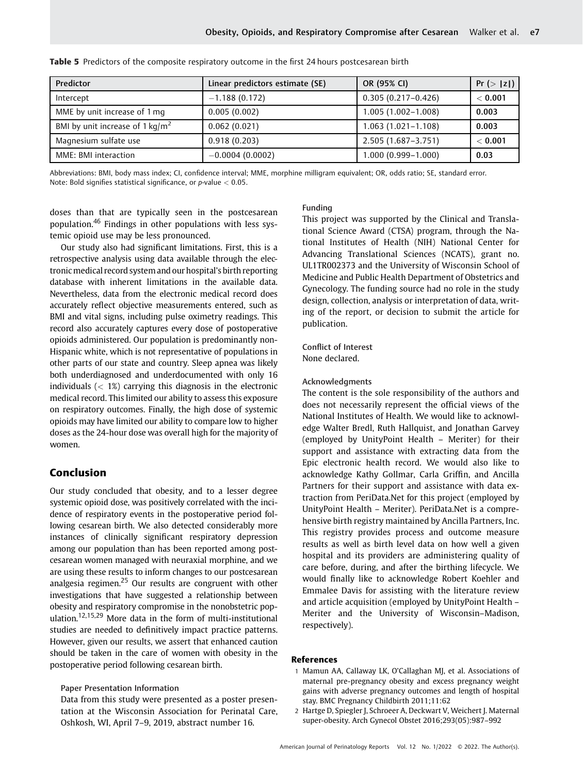| Predictor                                  | Linear predictors estimate (SE) | OR (95% CI)            | Pr(> z ) |
|--------------------------------------------|---------------------------------|------------------------|----------|
| Intercept                                  | $-1.188(0.172)$                 | $0.305(0.217-0.426)$   | < 0.001  |
| MME by unit increase of 1 mg               | 0.005(0.002)                    | $1.005(1.002 - 1.008)$ | 0.003    |
| BMI by unit increase of $1 \text{ kg/m}^2$ | 0.062(0.021)                    | $1.063(1.021-1.108)$   | 0.003    |
| Magnesium sulfate use                      | 0.918(0.203)                    | 2.505 (1.687-3.751)    | < 0.001  |
| MME: BMI interaction                       | $-0.0004(0.0002)$               | 1.000 (0.999-1.000)    | 0.03     |

Table 5 Predictors of the composite respiratory outcome in the first 24 hours postcesarean birth

Abbreviations: BMI, body mass index; CI, confidence interval; MME, morphine milligram equivalent; OR, odds ratio; SE, standard error. Note: Bold signifies statistical significance, or p-value < 0.05.

doses than that are typically seen in the postcesarean population.<sup>46</sup> Findings in other populations with less systemic opioid use may be less pronounced.

Our study also had significant limitations. First, this is a retrospective analysis using data available through the electronicmedical record system and our hospital's birth reporting database with inherent limitations in the available data. Nevertheless, data from the electronic medical record does accurately reflect objective measurements entered, such as BMI and vital signs, including pulse oximetry readings. This record also accurately captures every dose of postoperative opioids administered. Our population is predominantly non-Hispanic white, which is not representative of populations in other parts of our state and country. Sleep apnea was likely both underdiagnosed and underdocumented with only 16 individuals  $\left($  < 1%) carrying this diagnosis in the electronic medical record. This limited our ability to assess this exposure on respiratory outcomes. Finally, the high dose of systemic opioids may have limited our ability to compare low to higher doses as the 24-hour dose was overall high for the majority of women.

# Conclusion

Our study concluded that obesity, and to a lesser degree systemic opioid dose, was positively correlated with the incidence of respiratory events in the postoperative period following cesarean birth. We also detected considerably more instances of clinically significant respiratory depression among our population than has been reported among postcesarean women managed with neuraxial morphine, and we are using these results to inform changes to our postcesarean analgesia regimen.<sup>25</sup> Our results are congruent with other investigations that have suggested a relationship between obesity and respiratory compromise in the nonobstetric population.12,15,29 More data in the form of multi-institutional studies are needed to definitively impact practice patterns. However, given our results, we assert that enhanced caution should be taken in the care of women with obesity in the postoperative period following cesarean birth.

## Paper Presentation Information

Data from this study were presented as a poster presentation at the Wisconsin Association for Perinatal Care, Oshkosh, WI, April 7–9, 2019, abstract number 16.

#### Funding

This project was supported by the Clinical and Translational Science Award (CTSA) program, through the National Institutes of Health (NIH) National Center for Advancing Translational Sciences (NCATS), grant no. UL1TR002373 and the University of Wisconsin School of Medicine and Public Health Department of Obstetrics and Gynecology. The funding source had no role in the study design, collection, analysis or interpretation of data, writing of the report, or decision to submit the article for publication.

Conflict of Interest None declared.

### Acknowledgments

The content is the sole responsibility of the authors and does not necessarily represent the official views of the National Institutes of Health. We would like to acknowledge Walter Bredl, Ruth Hallquist, and Jonathan Garvey (employed by UnityPoint Health – Meriter) for their support and assistance with extracting data from the Epic electronic health record. We would also like to acknowledge Kathy Gollmar, Carla Griffin, and Ancilla Partners for their support and assistance with data extraction from PeriData.Net for this project (employed by UnityPoint Health – Meriter). PeriData.Net is a comprehensive birth registry maintained by Ancilla Partners, Inc. This registry provides process and outcome measure results as well as birth level data on how well a given hospital and its providers are administering quality of care before, during, and after the birthing lifecycle. We would finally like to acknowledge Robert Koehler and Emmalee Davis for assisting with the literature review and article acquisition (employed by UnityPoint Health – Meriter and the University of Wisconsin–Madison, respectively).

#### References

- 1 Mamun AA, Callaway LK, O'Callaghan MJ, et al. Associations of maternal pre-pregnancy obesity and excess pregnancy weight gains with adverse pregnancy outcomes and length of hospital stay. BMC Pregnancy Childbirth 2011;11:62
- 2 Hartge D, Spiegler J, Schroeer A, Deckwart V, Weichert J. Maternal super-obesity. Arch Gynecol Obstet 2016;293(05):987–992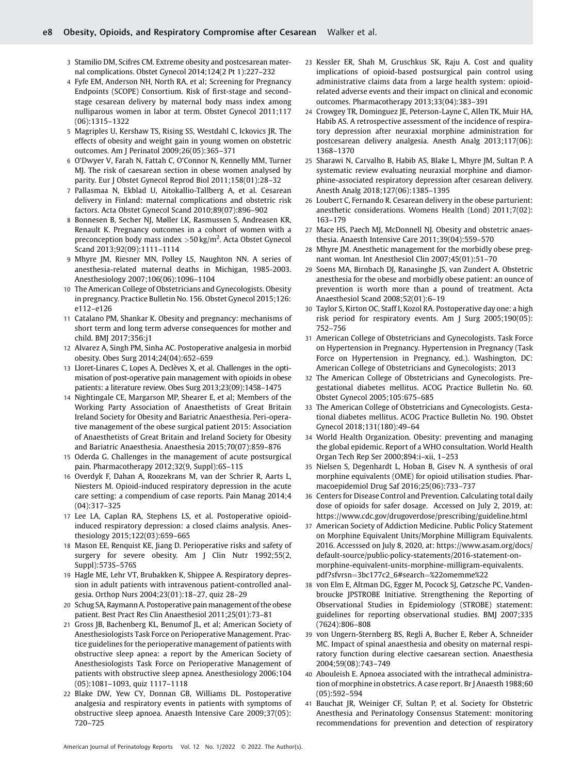- 3 Stamilio DM, Scifres CM. Extreme obesity and postcesarean maternal complications. Obstet Gynecol 2014;124(2 Pt 1):227–232
- 4 Fyfe EM, Anderson NH, North RA, et al; Screening for Pregnancy Endpoints (SCOPE) Consortium. Risk of first-stage and secondstage cesarean delivery by maternal body mass index among nulliparous women in labor at term. Obstet Gynecol 2011;117 (06):1315–1322
- 5 Magriples U, Kershaw TS, Rising SS, Westdahl C, Ickovics JR. The effects of obesity and weight gain in young women on obstetric outcomes. Am J Perinatol 2009;26(05):365–371
- 6 O'Dwyer V, Farah N, Fattah C, O'Connor N, Kennelly MM, Turner MJ. The risk of caesarean section in obese women analysed by parity. Eur J Obstet Gynecol Reprod Biol 2011;158(01):28–32
- 7 Pallasmaa N, Ekblad U, Aitokallio-Tallberg A, et al. Cesarean delivery in Finland: maternal complications and obstetric risk factors. Acta Obstet Gynecol Scand 2010;89(07):896–902
- 8 Bonnesen B, Secher NJ, Møller LK, Rasmussen S, Andreasen KR, Renault K. Pregnancy outcomes in a cohort of women with a preconception body mass index  $>$  50 kg/m<sup>2</sup>. Acta Obstet Gynecol Scand 2013;92(09):1111–1114
- 9 Mhyre JM, Riesner MN, Polley LS, Naughton NN. A series of anesthesia-related maternal deaths in Michigan, 1985-2003. Anesthesiology 2007;106(06):1096–1104
- 10 The American College of Obstetricians and Gynecologists. Obesity in pregnancy. Practice Bulletin No. 156. Obstet Gynecol 2015;126: e112–e126
- 11 Catalano PM, Shankar K. Obesity and pregnancy: mechanisms of short term and long term adverse consequences for mother and child. BMJ 2017;356:j1
- 12 Alvarez A, Singh PM, Sinha AC. Postoperative analgesia in morbid obesity. Obes Surg 2014;24(04):652–659
- 13 Lloret-Linares C, Lopes A, Declèves X, et al. Challenges in the optimisation of post-operative pain management with opioids in obese patients: a literature review. Obes Surg 2013;23(09):1458–1475
- 14 Nightingale CE, Margarson MP, Shearer E, et al; Members of the Working Party Association of Anaesthetists of Great Britain Ireland Society for Obesity and Bariatric Anaesthesia. Peri-operative management of the obese surgical patient 2015: Association of Anaesthetists of Great Britain and Ireland Society for Obesity and Bariatric Anaesthesia. Anaesthesia 2015;70(07):859–876
- 15 Oderda G. Challenges in the management of acute postsurgical pain. Pharmacotherapy 2012;32(9, Suppl):6S–11S
- 16 Overdyk F, Dahan A, Roozekrans M, van der Schrier R, Aarts L, Niesters M. Opioid-induced respiratory depression in the acute care setting: a compendium of case reports. Pain Manag 2014;4 (04):317–325
- 17 Lee LA, Caplan RA, Stephens LS, et al. Postoperative opioidinduced respiratory depression: a closed claims analysis. Anesthesiology 2015;122(03):659–665
- 18 Mason EE, Renquist KE, Jiang D. Perioperative risks and safety of surgery for severe obesity. Am J Clin Nutr 1992;55(2, Suppl):573S–576S
- 19 Hagle ME, Lehr VT, Brubakken K, Shippee A. Respiratory depression in adult patients with intravenous patient-controlled analgesia. Orthop Nurs 2004;23(01):18–27, quiz 28–29
- 20 Schug SA, Raymann A. Postoperative pain management of the obese patient. Best Pract Res Clin Anaesthesiol 2011;25(01):73–81
- 21 Gross JB, Bachenberg KL, Benumof JL, et al; American Society of Anesthesiologists Task Force on Perioperative Management. Practice guidelines for the perioperative management of patients with obstructive sleep apnea: a report by the American Society of Anesthesiologists Task Force on Perioperative Management of patients with obstructive sleep apnea. Anesthesiology 2006;104 (05):1081–1093, quiz 1117–1118
- 22 Blake DW, Yew CY, Donnan GB, Williams DL. Postoperative analgesia and respiratory events in patients with symptoms of obstructive sleep apnoea. Anaesth Intensive Care 2009;37(05): 720–725
- 23 Kessler ER, Shah M, Gruschkus SK, Raju A. Cost and quality implications of opioid-based postsurgical pain control using administrative claims data from a large health system: opioidrelated adverse events and their impact on clinical and economic outcomes. Pharmacotherapy 2013;33(04):383–391
- 24 Crowgey TR, Dominguez JE, Peterson-Layne C, Allen TK, Muir HA, Habib AS. A retrospective assessment of the incidence of respiratory depression after neuraxial morphine administration for postcesarean delivery analgesia. Anesth Analg 2013;117(06): 1368–1370
- 25 Sharawi N, Carvalho B, Habib AS, Blake L, Mhyre JM, Sultan P. A systematic review evaluating neuraxial morphine and diamorphine-associated respiratory depression after cesarean delivery. Anesth Analg 2018;127(06):1385–1395
- 26 Loubert C, Fernando R. Cesarean delivery in the obese parturient: anesthetic considerations. Womens Health (Lond) 2011;7(02): 163–179
- 27 Mace HS, Paech MJ, McDonnell NJ. Obesity and obstetric anaesthesia. Anaesth Intensive Care 2011;39(04):559–570
- 28 Mhyre JM. Anesthetic management for the morbidly obese pregnant woman. Int Anesthesiol Clin 2007;45(01):51–70
- 29 Soens MA, Birnbach DJ, Ranasinghe JS, van Zundert A. Obstetric anesthesia for the obese and morbidly obese patient: an ounce of prevention is worth more than a pound of treatment. Acta Anaesthesiol Scand 2008;52(01):6–19
- Taylor S, Kirton OC, Staff I, Kozol RA. Postoperative day one: a high risk period for respiratory events. Am J Surg 2005;190(05): 752–756
- 31 American College of Obstetricians and Gynecologists. Task Force on Hypertension in Pregnancy. Hypertension in Pregnancy (Task Force on Hypertension in Pregnancy, ed.). Washington, DC: American College of Obstetricians and Gynecologists; 2013
- 32 The American College of Obstetricians and Gynecologists. Pregestational diabetes mellitus. ACOG Practice Bulletin No. 60. Obstet Gynecol 2005;105:675–685
- 33 The American College of Obstetricians and Gynecologists. Gestational diabetes mellitus. ACOG Practice Bulletin No. 190. Obstet Gynecol 2018;131(180):49–64
- 34 World Health Organization. Obesity: preventing and managing the global epidemic. Report of a WHO consultation. World Health Organ Tech Rep Ser 2000;894:i–xii, 1–253
- 35 Nielsen S, Degenhardt L, Hoban B, Gisev N. A synthesis of oral morphine equivalents (OME) for opioid utilisation studies. Pharmacoepidemiol Drug Saf 2016;25(06):733–737
- 36 Centers for Disease Control and Prevention. Calculating total daily dose of opioids for safer dosage. Accessed on July 2, 2019, at: <https://www.cdc.gov/drugoverdose/prescribing/guideline.html>
- American Society of Addiction Medicine. Public Policy Statement on Morphine Equivalent Units/Morphine Milligram Equivalents. 2016. Accesssed on July 8, 2020, at: [https://www.asam.org/docs/](https://www.asam.org/docs/default-source/public-policy-statements/2016-statement-on-morphine-equivalent-units-morphine-milligram-equivalents.pdf?sfvrsn&x003D;3bc177c2_6&x0023;search&x003D;&x0025;22omemme&x0025;22) [default-source/public-policy-statements/2016-statement-on](https://www.asam.org/docs/default-source/public-policy-statements/2016-statement-on-morphine-equivalent-units-morphine-milligram-equivalents.pdf?sfvrsn&x003D;3bc177c2_6&x0023;search&x003D;&x0025;22omemme&x0025;22)[morphine-equivalent-units-morphine-milligram-equivalents.](https://www.asam.org/docs/default-source/public-policy-statements/2016-statement-on-morphine-equivalent-units-morphine-milligram-equivalents.pdf?sfvrsn&x003D;3bc177c2_6&x0023;search&x003D;&x0025;22omemme&x0025;22) pdf?sfvrsn=[3bc177c2\\_6#search](https://www.asam.org/docs/default-source/public-policy-statements/2016-statement-on-morphine-equivalent-units-morphine-milligram-equivalents.pdf?sfvrsn&x003D;3bc177c2_6&x0023;search&x003D;&x0025;22omemme&x0025;22)=%22omemme%22
- 38 von Elm E, Altman DG, Egger M, Pocock SJ, Gøtzsche PC, Vandenbroucke JPSTROBE Initiative. Strengthening the Reporting of Observational Studies in Epidemiology (STROBE) statement: guidelines for reporting observational studies. BMJ 2007;335 (7624):806–808
- 39 von Ungern-Sternberg BS, Regli A, Bucher E, Reber A, Schneider MC. Impact of spinal anaesthesia and obesity on maternal respiratory function during elective caesarean section. Anaesthesia 2004;59(08):743–749
- 40 Abouleish E. Apnoea associated with the intrathecal administration of morphine in obstetrics. A case report. Br J Anaesth 1988;60 (05):592–594
- 41 Bauchat JR, Weiniger CF, Sultan P, et al. Society for Obstetric Anesthesia and Perinatology Consensus Statement: monitoring recommendations for prevention and detection of respiratory